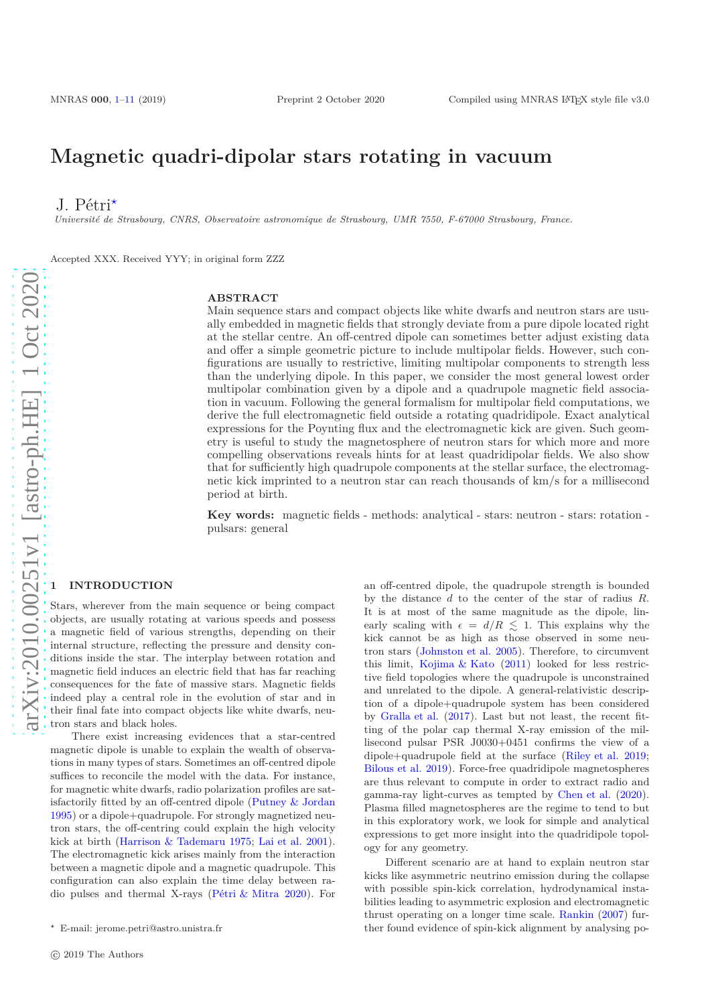# **Magnetic quadri-dipolar stars rotating in vacuum**

J. Pétri*<sup>⋆</sup>*

*Université de Strasbourg, CNRS, Observatoire astronomique de Strasbourg, UMR 7550, F-67000 Strasbourg, France.*

Accepted XXX. Received YYY; in original form ZZZ

# **ABSTRACT**

Main sequence stars and compact objects like white dwarfs and neutron stars are usually embedded in magnetic fields that strongly deviate from a pure dipole located right at the stellar centre. An off-centred dipole can sometimes better adjust existing data and offer a simple geometric picture to include multipolar fields. However, such configurations are usually to restrictive, limiting multipolar components to strength less than the underlying dipole. In this paper, we consider the most general lowest order multipolar combination given by a dipole and a quadrupole magnetic field association in vacuum. Following the general formalism for multipolar field computations, we derive the full electromagnetic field outside a rotating quadridipole. Exact analytical expressions for the Poynting flux and the electromagnetic kick are given. Such geometry is useful to study the magnetosphere of neutron stars for which more and more compelling observations reveals hints for at least quadridipolar fields. We also show that for sufficiently high quadrupole components at the stellar surface, the electromagnetic kick imprinted to a neutron star can reach thousands of km/s for a millisecond period at birth.

**Key words:** magnetic fields - methods: analytical - stars: neutron - stars: rotation pulsars: general

# <span id="page-0-0"></span>**1 INTRODUCTION**

Stars, wherever from the main sequence or being compact objects, are usually rotating at various speeds and possess a magnetic field of various strengths, depending on their internal structure, reflecting the pressure and density conditions inside the star. The interplay between rotation and magnetic field induces an electric field that has far reaching consequences for the fate of massive stars. Magnetic fields indeed play a central role in the evolution of star and in their final fate into compact objects like white dwarfs, neutron stars and black holes.

There exist increasing evidences that a star-centred magnetic dipole is unable to explain the wealth of observations in many types of stars. Sometimes an off-centred dipole suffices to reconcile the model with the data. For instance, for magnetic white dwarfs, radio polarization profiles are satisfactorily fitted by an off-centred dipole [\(Putney & Jordan](#page-10-0) [1995](#page-10-0)) or a dipole+quadrupole. For strongly magnetized neutron stars, the off-centring could explain the high velocity kick at birth [\(Harrison & Tademaru 1975;](#page-10-1) [Lai et al. 2001](#page-10-2)). The electromagnetic kick arises mainly from the interaction between a magnetic dipole and a magnetic quadrupole. This configuration can also explain the time delay between radio pulses and thermal X-rays [\(Pétri & Mitra 2020](#page-10-3)). For

an off-centred dipole, the quadrupole strength is bounded by the distance *d* to the center of the star of radius *R*. It is at most of the same magnitude as the dipole, linearly scaling with  $\epsilon = d/R \leq 1$ . This explains why the kick cannot be as high as those observed in some neutron stars [\(Johnston et al. 2005\)](#page-10-4). Therefore, to circumvent this limit, [Kojima & Kato](#page-10-5) [\(2011](#page-10-5)) looked for less restrictive field topologies where the quadrupole is unconstrained and unrelated to the dipole. A general-relativistic description of a dipole+quadrupole system has been considered by [Gralla et al.](#page-10-6) [\(2017\)](#page-10-6). Last but not least, the recent fitting of the polar cap thermal X-ray emission of the millisecond pulsar PSR J0030+0451 confirms the view of a dipole+quadrupole field at the surface [\(Riley et al. 2019](#page-10-7); [Bilous et al. 2019](#page-10-8)). Force-free quadridipole magnetospheres are thus relevant to compute in order to extract radio and gamma-ray light-curves as tempted by [Chen et al.](#page-10-9) [\(2020](#page-10-9)). Plasma filled magnetospheres are the regime to tend to but in this exploratory work, we look for simple and analytical expressions to get more insight into the quadridipole topology for any geometry.

Different scenario are at hand to explain neutron star kicks like asymmetric neutrino emission during the collapse with possible spin-kick correlation, hydrodynamical instabilities leading to asymmetric explosion and electromagnetic thrust operating on a longer time scale. [Rankin](#page-10-10) [\(2007\)](#page-10-10) further found evidence of spin-kick alignment by analysing po-

*<sup>⋆</sup>* E-mail: jerome.petri@astro.unistra.fr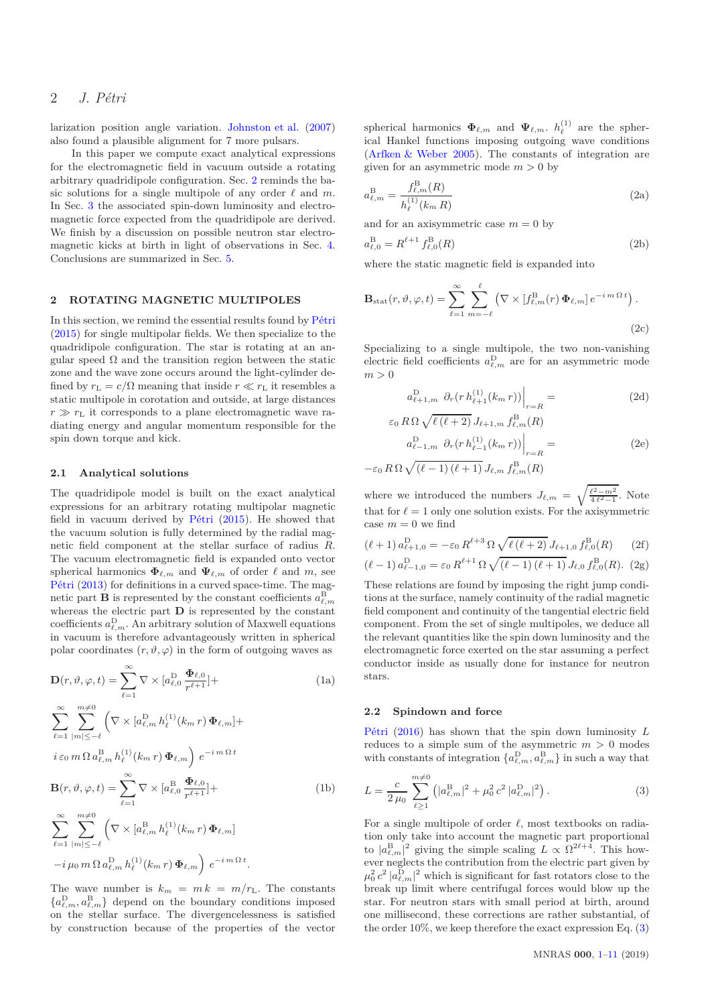# 2 *J. Pétri*

larization position angle variation. [Johnston et al.](#page-10-11) [\(2007](#page-10-11)) also found a plausible alignment for 7 more pulsars.

In this paper we compute exact analytical expressions for the electromagnetic field in vacuum outside a rotating arbitrary quadridipole configuration. Sec. [2](#page-1-0) reminds the basic solutions for a single multipole of any order *ℓ* and *m*. In Sec. [3](#page-3-0) the associated spin-down luminosity and electromagnetic force expected from the quadridipole are derived. We finish by a discussion on possible neutron star electromagnetic kicks at birth in light of observations in Sec. [4.](#page-3-1) Conclusions are summarized in Sec. [5.](#page-9-0)

#### <span id="page-1-0"></span>**2 ROTATING MAGNETIC MULTIPOLES**

In this section, we remind the essential results found by [Pétri](#page-10-12) [\(2015](#page-10-12)) for single multipolar fields. We then specialize to the quadridipole configuration. The star is rotating at an angular speed  $\Omega$  and the transition region between the static zone and the wave zone occurs around the light-cylinder defined by  $r_L = c/\Omega$  meaning that inside  $r \ll r_L$  it resembles a static multipole in corotation and outside, at large distances  $r \gg r_L$  it corresponds to a plane electromagnetic wave radiating energy and angular momentum responsible for the spin down torque and kick.

#### **2.1 Analytical solutions**

The quadridipole model is built on the exact analytical expressions for an arbitrary rotating multipolar magnetic field in vacuum derived by [Pétri](#page-10-12) [\(2015](#page-10-12)). He showed that the vacuum solution is fully determined by the radial magnetic field component at the stellar surface of radius *R*. The vacuum electromagnetic field is expanded onto vector spherical harmonics  $\Phi_{\ell,m}$  and  $\Psi_{\ell,m}$  of order  $\ell$  and  $m$ , see [Pétri](#page-10-13) [\(2013](#page-10-13)) for definitions in a curved space-time. The magnetic part **B** is represented by the constant coefficients  $a_{\ell,m}^{\text{B}}$ whereas the electric part **D** is represented by the constant coefficients  $a_{\ell,m}^{\text{D}}$ . An arbitrary solution of Maxwell equations in vacuum is therefore advantageously written in spherical polar coordinates  $(r, \vartheta, \varphi)$  in the form of outgoing waves as

$$
\mathbf{D}(r, \vartheta, \varphi, t) = \sum_{\ell=1}^{\infty} \nabla \times [a_{\ell,0}^{D} \frac{\Phi_{\ell,0}}{r^{\ell+1}}] +
$$
\n
$$
\sum_{\ell=1}^{\infty} \sum_{|m| \leq -\ell}^{m \neq 0} \left( \nabla \times [a_{\ell,m}^{D} h_{\ell}^{(1)}(k_m r) \Phi_{\ell,m}] +
$$
\n
$$
i \varepsilon_0 m \Omega a_{\ell,m}^{B} h_{\ell}^{(1)}(k_m r) \Phi_{\ell,m} \right) e^{-im \Omega t}
$$
\n
$$
\mathbf{B}(r, \vartheta, \varphi, t) = \sum_{\ell=1}^{\infty} \nabla \times [a_{\ell,0}^{B} \frac{\Phi_{\ell,0}}{r^{\ell+1}}] +
$$
\n(1b)

$$
\sum_{\ell=1}^{\infty} \sum_{|m| \leq -\ell}^{m \neq 0} \left( \nabla \times [a_{\ell,m}^{B} h_{\ell}^{(1)}(k_m r) \boldsymbol{\Phi}_{\ell,m} ] - i \mu_0 m \Omega a_{\ell,m}^{D} h_{\ell}^{(1)}(k_m r) \boldsymbol{\Phi}_{\ell,m} \right) e^{-i m \Omega t}.
$$

The wave number is  $k_m = m k = m/r_L$ . The constants  ${a_{\ell,m}^D, a_{\ell,m}^B}$  depend on the boundary conditions imposed on the stellar surface. The divergencelessness is satisfied by construction because of the properties of the vector

spherical harmonics  $\Phi_{\ell,m}$  and  $\Psi_{\ell,m}$ .  $h_{\ell}^{(1)}$  are the spherical Hankel functions imposing outgoing wave conditions [\(Arfken & Weber 2005](#page-10-14)). The constants of integration are given for an asymmetric mode  $m > 0$  by

$$
a_{\ell,m}^{\rm B} = \frac{f_{\ell,m}^{\rm B}(R)}{h_{\ell}^{(1)}(k_m R)}\tag{2a}
$$

and for an axisymmetric case  $m = 0$  by

$$
a_{\ell,0}^{\mathcal{B}} = R^{\ell+1} f_{\ell,0}^{\mathcal{B}}(R)
$$
 (2b)

where the static magnetic field is expanded into

$$
\mathbf{B}_{\text{stat}}(r,\vartheta,\varphi,t) = \sum_{\ell=1}^{\infty} \sum_{m=-\ell}^{\ell} \left( \nabla \times [f_{\ell,m}^{B}(r) \, \Phi_{\ell,m}] \, e^{-i \, m \, \Omega \, t} \right).
$$
\n(2c)

Specializing to a single multipole, the two non-vanishing electric field coefficients  $a_{\ell,m}^{\text{D}}$  are for an asymmetric mode  $m > 0$ 

$$
a_{\ell+1,m}^D \partial_r (r \, h_{\ell+1}^{(1)}(k_m \, r)) \Big|_{r=R} = \tag{2d}
$$

$$
\varepsilon_0 R \Omega \sqrt{\ell (\ell + 2)} J_{\ell+1,m} f_{\ell,m}^{B}(R)
$$

$$
a_{\ell-1,m}^{D} \partial_r (r h_{\ell-1}^{(1)}(k_m r)) \Big|_{r=R} =
$$
(2e)

 $-\varepsilon_0 R \Omega \sqrt{(\ell-1) (\ell+1)} J_{\ell,m} f_{\ell,m}^{\text{B}}(R)$ 

where we introduced the numbers  $J_{\ell,m} = \sqrt{\frac{\ell^2 - m^2}{4\ell^2 - 1}}$ . Note that for  $\ell = 1$  only one solution exists. For the axisymmetric case  $m = 0$  we find

$$
(\ell+1) a_{\ell+1,0}^{\mathcal{D}} = -\varepsilon_0 R^{\ell+3} \Omega \sqrt{\ell(\ell+2)} J_{\ell+1,0} f_{\ell,0}^{\mathcal{B}}(R) \tag{2f}
$$

$$
(\ell - 1) a_{\ell - 1,0}^D = \varepsilon_0 R^{\ell + 1} \Omega \sqrt{(\ell - 1) (\ell + 1)} J_{\ell,0} f_{\ell,0}^B(R). (2g)
$$

These relations are found by imposing the right jump conditions at the surface, namely continuity of the radial magnetic field component and continuity of the tangential electric field component. From the set of single multipoles, we deduce all the relevant quantities like the spin down luminosity and the electromagnetic force exerted on the star assuming a perfect conductor inside as usually done for instance for neutron stars.

## **2.2 Spindown and force**

[Pétri](#page-10-15) [\(2016](#page-10-15)) has shown that the spin down luminosity *L* reduces to a simple sum of the asymmetric  $m > 0$  modes with constants of integration  $\{a_{\ell,m}^{\text{D}}, a_{\ell,m}^{\text{B}}\}$  in such a way that

<span id="page-1-1"></span>
$$
L = \frac{c}{2\,\mu_0} \sum_{\ell \ge 1}^{m \ne 0} \left( |\mathbf{a}_{\ell,m}^{\mathbf{B}}|^2 + \mu_0^2 \, c^2 \, |\mathbf{a}_{\ell,m}^{\mathbf{D}}|^2 \right). \tag{3}
$$

For a single multipole of order *ℓ*, most textbooks on radiation only take into account the magnetic part proportional to  $|a_{\ell,m}^{\rm B}|^2$  giving the simple scaling  $L \propto \Omega^{2\ell+4}$ . This however neglects the contribution from the electric part given by  $\mu_0^2 c^2 |a_{\ell,m}^D|^2$  which is significant for fast rotators close to the break up limit where centrifugal forces would blow up the star. For neutron stars with small period at birth, around one millisecond, these corrections are rather substantial, of the order  $10\%$ , we keep therefore the exact expression Eq. [\(3\)](#page-1-1)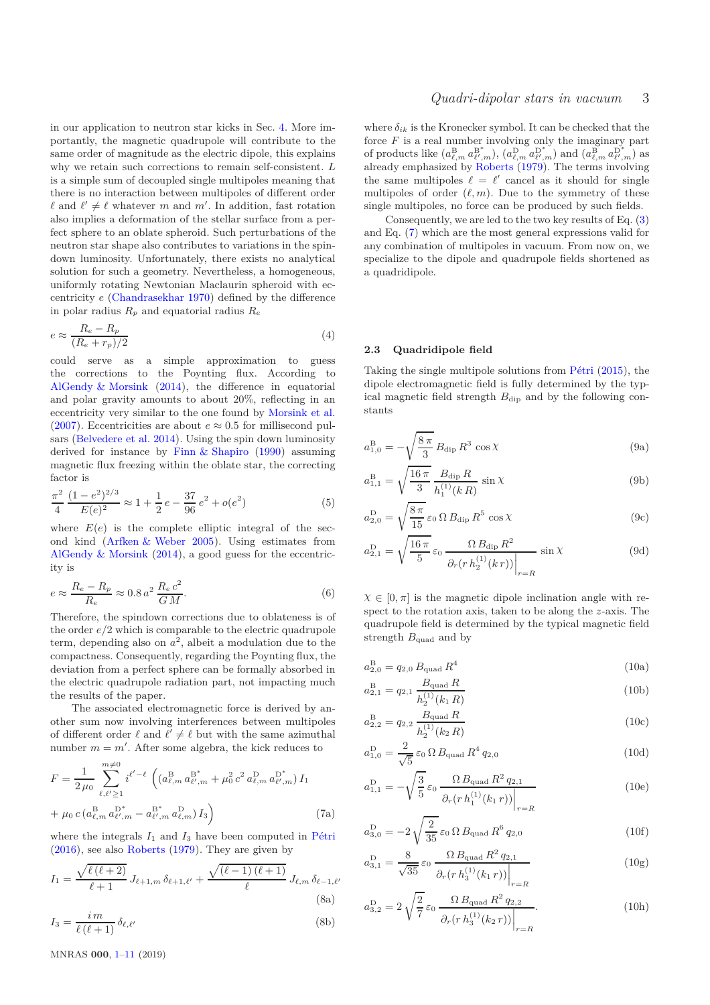in our application to neutron star kicks in Sec. [4.](#page-3-1) More importantly, the magnetic quadrupole will contribute to the same order of magnitude as the electric dipole, this explains why we retain such corrections to remain self-consistent. *L* is a simple sum of decoupled single multipoles meaning that there is no interaction between multipoles of different order  $\ell$  and  $\ell' \neq \ell$  whatever *m* and *m'*. In addition, fast rotation also implies a deformation of the stellar surface from a perfect sphere to an oblate spheroid. Such perturbations of the neutron star shape also contributes to variations in the spindown luminosity. Unfortunately, there exists no analytical solution for such a geometry. Nevertheless, a homogeneous, uniformly rotating Newtonian Maclaurin spheroid with eccentricity *e* [\(Chandrasekhar 1970](#page-10-16)) defined by the difference in polar radius  $R_p$  and equatorial radius  $R_e$ 

$$
e \approx \frac{R_e - R_p}{(R_e + r_p)/2} \tag{4}
$$

could serve as a simple approximation to guess the corrections to the Poynting flux. According to [AlGendy & Morsink](#page-10-17) [\(2014](#page-10-17)), the difference in equatorial and polar gravity amounts to about 20%, reflecting in an eccentricity very similar to the one found by [Morsink et al.](#page-10-18) [\(2007](#page-10-18)). Eccentricities are about  $e \approx 0.5$  for millisecond pulsars [\(Belvedere et al. 2014](#page-10-19)). Using the spin down luminosity derived for instance by [Finn & Shapiro](#page-10-20) [\(1990](#page-10-20)) assuming magnetic flux freezing within the oblate star, the correcting factor is

$$
\frac{\pi^2}{4} \frac{(1 - e^2)^{2/3}}{E(e)^2} \approx 1 + \frac{1}{2}e - \frac{37}{96}e^2 + o(e^2)
$$
 (5)

where  $E(e)$  is the complete elliptic integral of the second kind [\(Arfken & Weber 2005](#page-10-14)). Using estimates from [AlGendy & Morsink](#page-10-17) [\(2014](#page-10-17)), a good guess for the eccentricity is

$$
e \approx \frac{R_e - R_p}{R_e} \approx 0.8 a^2 \frac{R_e c^2}{GM}.
$$
\n
$$
(6)
$$

Therefore, the spindown corrections due to oblateness is of the order *e/*2 which is comparable to the electric quadrupole term, depending also on  $a^2$ , albeit a modulation due to the compactness. Consequently, regarding the Poynting flux, the deviation from a perfect sphere can be formally absorbed in the electric quadrupole radiation part, not impacting much the results of the paper.

The associated electromagnetic force is derived by another sum now involving interferences between multipoles of different order  $\ell$  and  $\ell' \neq \ell$  but with the same azimuthal number  $m = m'$ . After some algebra, the kick reduces to

$$
F = \frac{1}{2 \mu_0} \sum_{\ell,\ell'\geq 1}^{m \neq 0} i^{\ell'-\ell} \left( \left( a_{\ell,m}^{\mathcal{B}} a_{\ell',m}^{\mathcal{B}^*} + \mu_0^2 c^2 a_{\ell,m}^{\mathcal{D}} a_{\ell',m}^{\mathcal{D}^*} \right) I_1 \right. \\
\left. + \mu_0 c \left( a_{\ell,m}^{\mathcal{B}} a_{\ell',m}^{\mathcal{D}^*} - a_{\ell',m}^{\mathcal{B}^*} a_{\ell,m}^{\mathcal{D}} \right) I_3 \right) \tag{7a}
$$

where the integrals  $I_1$  and  $I_3$  have been computed in [Pétri](#page-10-15) [\(2016](#page-10-15)), see also [Roberts](#page-10-21) [\(1979](#page-10-21)). They are given by

$$
I_{1} = \frac{\sqrt{\ell(\ell+2)}}{\ell+1} J_{\ell+1,m} \, \delta_{\ell+1,\ell'} + \frac{\sqrt{(\ell-1)(\ell+1)}}{\ell} J_{\ell,m} \, \delta_{\ell-1,\ell'}
$$
\n(8a)

$$
I_3 = \frac{i m}{\ell (\ell + 1)} \delta_{\ell, \ell'} \tag{8b}
$$

where  $\delta_{ik}$  is the Kronecker symbol. It can be checked that the force *F* is a real number involving only the imaginary part of products like  $(a_{\ell,m}^B a_{\ell',m}^{B^*}), (a_{\ell,m}^D a_{\ell',m}^{D^*})$  and  $(a_{\ell,m}^B a_{\ell',m}^{D^*})$  as already emphasized by [Roberts](#page-10-21) [\(1979](#page-10-21)). The terms involving the same multipoles  $\ell = \ell'$  cancel as it should for single multipoles of order  $(\ell, m)$ . Due to the symmetry of these single multipoles, no force can be produced by such fields.

Consequently, we are led to the two key results of Eq. [\(3\)](#page-1-1) and Eq. [\(7\)](#page-2-0) which are the most general expressions valid for any combination of multipoles in vacuum. From now on, we specialize to the dipole and quadrupole fields shortened as a quadridipole.

## **2.3 Quadridipole field**

Taking the single multipole solutions from [Pétri](#page-10-12) [\(2015](#page-10-12)), the dipole electromagnetic field is fully determined by the typical magnetic field strength  $B_{\text{dip}}$  and by the following constants

$$
a_{1,0}^{\mathcal{B}} = -\sqrt{\frac{8\,\pi}{3}}\,B_{\mathrm{dip}}\,R^3\,\cos X\tag{9a}
$$

$$
a_{1,1}^{\mathcal{B}} = \sqrt{\frac{16\,\pi}{3}} \frac{B_{\text{dip}}\,R}{h_1^{(1)}(k\,R)} \sin \chi \tag{9b}
$$

$$
a_{2,0}^{\mathcal{D}} = \sqrt{\frac{8\,\pi}{15}}\,\varepsilon_0\,\Omega\,B_{\mathrm{dip}}\,R^5\,\cos\chi\tag{9c}
$$

$$
a_{2,1}^D = \sqrt{\frac{16\,\pi}{5}} \varepsilon_0 \frac{\Omega \, B_{\text{dip}} \, R^2}{\partial_r \left( r \, h_2^{(1)}(k \, r) \right)} \sin \chi \tag{9d}
$$

 $\chi \in [0, \pi]$  is the magnetic dipole inclination angle with respect to the rotation axis, taken to be along the *z*-axis. The quadrupole field is determined by the typical magnetic field strength  $B_{\text{quad}}$  and by

$$
a_{2,0}^{\text{B}} = q_{2,0} B_{\text{quad}} R^4 \tag{10a}
$$

$$
a_{2,1}^{\mathcal{B}} = q_{2,1} \frac{B_{\text{quad}} R}{h_2^{(1)}(k_1 R)}
$$
(10b)

$$
a_{2,2}^{\mathcal{B}} = q_{2,2} \frac{B_{\text{quad}} R}{h_2^{(1)}(k_2 R)} \tag{10c}
$$

$$
a_{1,0}^D = \frac{2}{\sqrt{5}} \,\varepsilon_0 \,\Omega \, B_{\text{quad}} \, R^4 \, q_{2,0} \tag{10d}
$$

$$
a_{1,1}^{\mathcal{D}} = -\sqrt{\frac{3}{5}} \varepsilon_0 \frac{\Omega B_{\text{quad}} R^2 q_{2,1}}{\partial_r (r \, h_1^{(1)}(k_1 \, r))} \bigg|_{r=R} \tag{10e}
$$

<span id="page-2-0"></span>
$$
a_{3,0}^{\mathcal{D}} = -2\sqrt{\frac{2}{35}}\,\varepsilon_0\,\Omega\,B_{\text{quad}}\,R^6\,q_{2,0} \tag{10f}
$$

$$
a_{3,1}^D = \frac{8}{\sqrt{35}} \varepsilon_0 \frac{\Omega B_{\text{quad}} R^2 q_{2,1}}{\partial_r (r h_3^{(1)} (k_1 r))} \Big|_{r=R}
$$
(10g)

$$
a_{3,2}^{\mathcal{D}} = 2\sqrt{\frac{2}{7}}\,\varepsilon_0 \frac{\Omega \, B_{\text{quad}} \, R^2 \, q_{2,2}}{\partial_r \big(r \, h_3^{(1)}(k_2 \, r)\big)\Big|_{r=R}}.\tag{10h}
$$

MNRAS **000**, [1–](#page-0-0)[11](#page-9-0) (2019)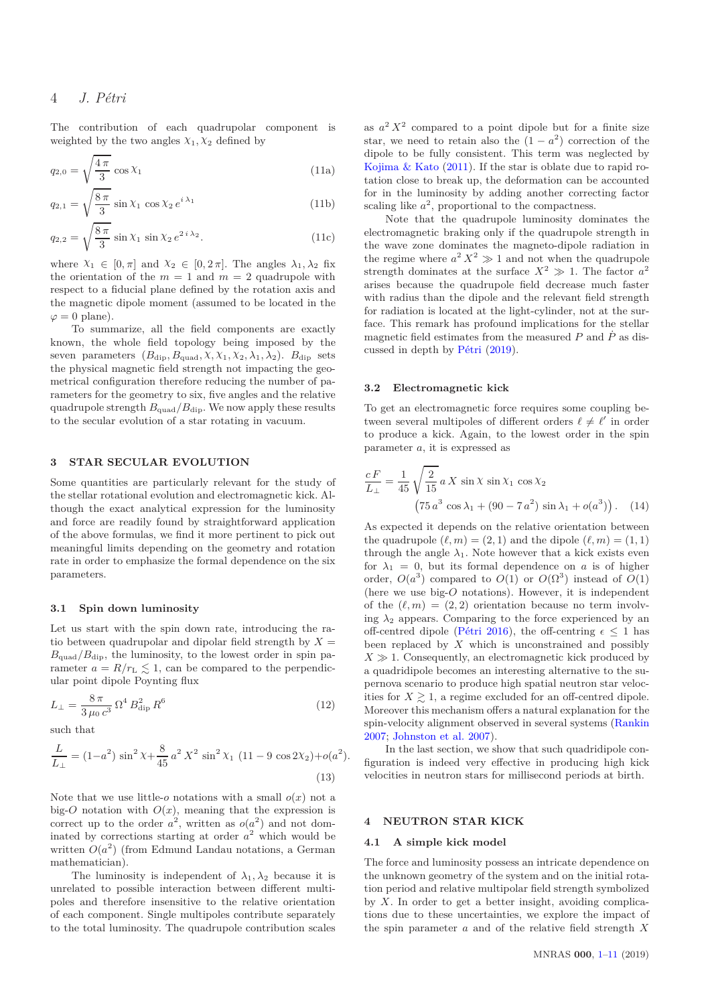# 4 *J. Pétri*

The contribution of each quadrupolar component is weighted by the two angles  $\chi_1, \chi_2$  defined by

$$
q_{2,0} = \sqrt{\frac{4\pi}{3}} \cos \chi_1 \tag{11a}
$$

$$
q_{2,1} = \sqrt{\frac{8\,\pi}{3}}\sin\chi_1\,\cos\chi_2\,e^{i\,\lambda_1} \tag{11b}
$$

$$
q_{2,2} = \sqrt{\frac{8\,\pi}{3}}\,\sin X_1\,\sin X_2\,e^{2\,i\,\lambda_2}.\tag{11c}
$$

where  $\chi_1 \in [0, \pi]$  and  $\chi_2 \in [0, 2\pi]$ . The angles  $\lambda_1, \lambda_2$  fix the orientation of the  $m = 1$  and  $m = 2$  quadrupole with respect to a fiducial plane defined by the rotation axis and the magnetic dipole moment (assumed to be located in the  $\varphi = 0$  plane).

To summarize, all the field components are exactly known, the whole field topology being imposed by the seven parameters  $(B_{\text{dip}}, B_{\text{quad}}, \chi, \chi_1, \chi_2, \lambda_1, \lambda_2)$ .  $B_{\text{dip}}$  sets the physical magnetic field strength not impacting the geometrical configuration therefore reducing the number of parameters for the geometry to six, five angles and the relative quadrupole strength *B*quad*/B*dip. We now apply these results to the secular evolution of a star rotating in vacuum.

# <span id="page-3-0"></span>**3 STAR SECULAR EVOLUTION**

Some quantities are particularly relevant for the study of the stellar rotational evolution and electromagnetic kick. Although the exact analytical expression for the luminosity and force are readily found by straightforward application of the above formulas, we find it more pertinent to pick out meaningful limits depending on the geometry and rotation rate in order to emphasize the formal dependence on the six parameters.

## **3.1 Spin down luminosity**

Let us start with the spin down rate, introducing the ratio between quadrupolar and dipolar field strength by  $X =$  $B_{\text{quad}}/B_{\text{dip}}$ , the luminosity, to the lowest order in spin parameter  $a = R/r_L \leq 1$ , can be compared to the perpendicular point dipole Poynting flux

$$
L_{\perp} = \frac{8\,\pi}{3\,\mu_0\,c^3} \,\Omega^4 \,B_{\rm dip}^2 \,R^6 \tag{12}
$$

such that

$$
\frac{L}{L_{\perp}} = (1 - a^2) \sin^2 x + \frac{8}{45} a^2 X^2 \sin^2 x_1 (11 - 9 \cos 2x_2) + o(a^2).
$$
\n(13)

Note that we use little-*o* notations with a small  $o(x)$  not a big-*O* notation with  $O(x)$ , meaning that the expression is correct up to the order  $a^2$ , written as  $o(a^2)$  and not dominated by corrections starting at order  $a^2$  which would be written  $O(a^2)$  (from Edmund Landau notations, a German mathematician).

The luminosity is independent of  $\lambda_1, \lambda_2$  because it is unrelated to possible interaction between different multipoles and therefore insensitive to the relative orientation of each component. Single multipoles contribute separately to the total luminosity. The quadrupole contribution scales

as  $a^2 X^2$  compared to a point dipole but for a finite size star, we need to retain also the  $(1 - a^2)$  correction of the dipole to be fully consistent. This term was neglected by [Kojima & Kato](#page-10-5) [\(2011\)](#page-10-5). If the star is oblate due to rapid rotation close to break up, the deformation can be accounted for in the luminosity by adding another correcting factor scaling like  $a^2$ , proportional to the compactness.

Note that the quadrupole luminosity dominates the electromagnetic braking only if the quadrupole strength in the wave zone dominates the magneto-dipole radiation in the regime where  $a^2 X^2 \gg 1$  and not when the quadrupole strength dominates at the surface  $X^2 \gg 1$ . The factor  $a^2$ arises because the quadrupole field decrease much faster with radius than the dipole and the relevant field strength for radiation is located at the light-cylinder, not at the surface. This remark has profound implications for the stellar magnetic field estimates from the measured  $P$  and  $\dot{P}$  as discussed in depth by [Pétri](#page-10-22) [\(2019\)](#page-10-22).

## **3.2 Electromagnetic kick**

To get an electromagnetic force requires some coupling between several multipoles of different orders  $\ell \neq \ell'$  in order to produce a kick. Again, to the lowest order in the spin parameter *a*, it is expressed as

$$
\frac{cF}{L_{\perp}} = \frac{1}{45} \sqrt{\frac{2}{15}} a X \sin \chi \sin \chi_1 \cos \chi_2
$$
  
(75 *a*<sup>3</sup> cos  $\lambda_1 + (90 - 7 a^2) \sin \lambda_1 + o(a^3)$ ). (14)

As expected it depends on the relative orientation between the quadrupole  $(\ell, m) = (2, 1)$  and the dipole  $(\ell, m) = (1, 1)$ through the angle  $\lambda_1$ . Note however that a kick exists even for  $\lambda_1 = 0$ , but its formal dependence on *a* is of higher order,  $O(a^3)$  compared to  $O(1)$  or  $O(\Omega^3)$  instead of  $O(1)$ (here we use big-*O* notations). However, it is independent of the  $(\ell, m) = (2, 2)$  orientation because no term involving  $\lambda_2$  appears. Comparing to the force experienced by an off-centred dipole [\(Pétri 2016](#page-10-15)), the off-centring  $\epsilon \leq 1$  has been replaced by *X* which is unconstrained and possibly  $X \gg 1$ . Consequently, an electromagnetic kick produced by a quadridipole becomes an interesting alternative to the supernova scenario to produce high spatial neutron star velocities for  $X \geq 1$ , a regime excluded for an off-centred dipole. Moreover this mechanism offers a natural explanation for the spin-velocity alignment observed in several systems [\(Rankin](#page-10-10) [2007](#page-10-10); [Johnston et al. 2007\)](#page-10-11).

In the last section, we show that such quadridipole configuration is indeed very effective in producing high kick velocities in neutron stars for millisecond periods at birth.

# <span id="page-3-1"></span>**4 NEUTRON STAR KICK**

## **4.1 A simple kick model**

The force and luminosity possess an intricate dependence on the unknown geometry of the system and on the initial rotation period and relative multipolar field strength symbolized by *X*. In order to get a better insight, avoiding complications due to these uncertainties, we explore the impact of the spin parameter *a* and of the relative field strength *X*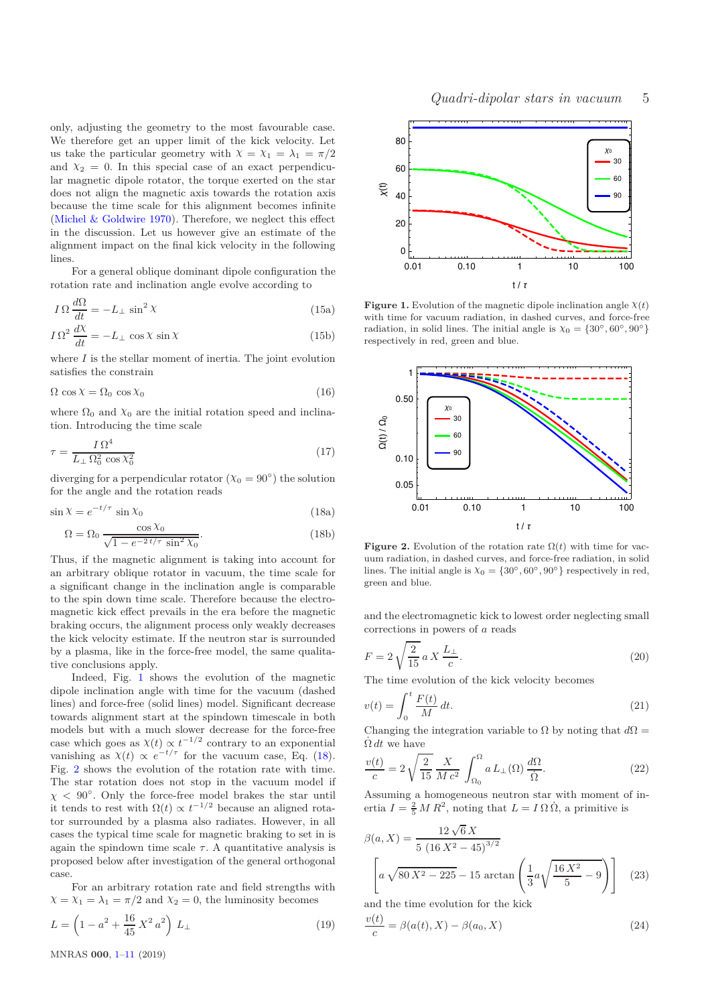only, adjusting the geometry to the most favourable case. We therefore get an upper limit of the kick velocity. Let us take the particular geometry with  $\chi = \chi_1 = \lambda_1 = \pi/2$ and  $\chi_2 = 0$ . In this special case of an exact perpendicular magnetic dipole rotator, the torque exerted on the star does not align the magnetic axis towards the rotation axis because the time scale for this alignment becomes infinite [\(Michel & Goldwire 1970](#page-10-23)). Therefore, we neglect this effect in the discussion. Let us however give an estimate of the alignment impact on the final kick velocity in the following lines.

For a general oblique dominant dipole configuration the rotation rate and inclination angle evolve according to

$$
I\,\Omega\,\frac{d\Omega}{dt} = -L_{\perp}\,\sin^2\chi\tag{15a}
$$

$$
I\,\Omega^2\,\frac{dX}{dt} = -L_\perp\,\cos X\,\sin X\tag{15b}
$$

where *I* is the stellar moment of inertia. The joint evolution satisfies the constrain

$$
\Omega \cos \chi = \Omega_0 \cos \chi_0 \tag{16}
$$

where  $\Omega_0$  and  $\chi_0$  are the initial rotation speed and inclination. Introducing the time scale

$$
\tau = \frac{I\,\Omega^4}{L_\perp\,\Omega_0^2\,\cos\chi_0^2} \tag{17}
$$

diverging for a perpendicular rotator  $(X_0 = 90^\circ)$  the solution for the angle and the rotation reads

$$
\sin \chi = e^{-t/\tau} \sin \chi_0 \tag{18a}
$$

$$
\Omega = \Omega_0 \frac{\cos \chi_0}{\sqrt{1 - e^{-2t/\tau} \sin^2 \chi_0}}.
$$
\n(18b)

Thus, if the magnetic alignment is taking into account for an arbitrary oblique rotator in vacuum, the time scale for a significant change in the inclination angle is comparable to the spin down time scale. Therefore because the electromagnetic kick effect prevails in the era before the magnetic braking occurs, the alignment process only weakly decreases the kick velocity estimate. If the neutron star is surrounded by a plasma, like in the force-free model, the same qualitative conclusions apply.

Indeed, Fig. [1](#page-4-0) shows the evolution of the magnetic dipole inclination angle with time for the vacuum (dashed lines) and force-free (solid lines) model. Significant decrease towards alignment start at the spindown timescale in both models but with a much slower decrease for the force-free case which goes as  $\chi(t) \propto t^{-1/2}$  contrary to an exponential vanishing as  $\chi(t) \propto e^{-t/\tau}$  for the vacuum case, Eq. [\(18\)](#page-4-1). Fig. [2](#page-4-2) shows the evolution of the rotation rate with time. The star rotation does not stop in the vacuum model if *χ <* 90◦ . Only the force-free model brakes the star until it tends to rest with  $\Omega(t) \propto t^{-1/2}$  because an aligned rotator surrounded by a plasma also radiates. However, in all cases the typical time scale for magnetic braking to set in is again the spindown time scale  $\tau$ . A quantitative analysis is proposed below after investigation of the general orthogonal case.

For an arbitrary rotation rate and field strengths with  $\chi = \chi_1 = \chi_1 = \pi/2$  and  $\chi_2 = 0$ , the luminosity becomes

$$
L = \left(1 - a^2 + \frac{16}{45} X^2 a^2\right) L_{\perp} \tag{19}
$$



<span id="page-4-5"></span><span id="page-4-0"></span>**Figure 1.** Evolution of the magnetic dipole inclination angle  $\chi(t)$ with time for vacuum radiation, in dashed curves, and force-free radiation, in solid lines. The initial angle is  $X_0 = \{30^\circ, 60^\circ, 90^\circ\}$ respectively in red, green and blue.



<span id="page-4-2"></span><span id="page-4-1"></span>**Figure 2.** Evolution of the rotation rate  $\Omega(t)$  with time for vacuum radiation, in dashed curves, and force-free radiation, in solid lines. The initial angle is  $X_0 = \{30^\circ, 60^\circ, 90^\circ\}$  respectively in red, green and blue.

and the electromagnetic kick to lowest order neglecting small corrections in powers of *a* reads

$$
F = 2\sqrt{\frac{2}{15}} a X \frac{L_{\perp}}{c}.
$$
\n
$$
(20)
$$

<span id="page-4-4"></span>The time evolution of the kick velocity becomes

$$
v(t) = \int_0^t \frac{F(t)}{M} dt.
$$
\n(21)

Changing the integration variable to  $\Omega$  by noting that  $d\Omega =$  $\dot{\Omega}$  *dt* we have

$$
\frac{v(t)}{c} = 2\sqrt{\frac{2}{15}}\frac{X}{Mc^2} \int_{\Omega_0}^{\Omega} a L_{\perp}(\Omega) \frac{d\Omega}{\dot{\Omega}}.
$$
 (22)

Assuming a homogeneous neutron star with moment of inertia  $I = \frac{2}{5} M R^2$ , noting that  $L = I \Omega \dot{\Omega}$ , a primitive is

<span id="page-4-3"></span>
$$
\beta(a, X) = \frac{12\sqrt{6} X}{5 (16 X^2 - 45)^{3/2}}
$$
  
\n
$$
\left[ a \sqrt{80 X^2 - 225} - 15 \arctan\left(\frac{1}{3} a \sqrt{\frac{16 X^2}{5} - 9}\right) \right]
$$
 (23)

<span id="page-4-6"></span>and the time evolution for the kick

$$
\frac{v(t)}{c} = \beta(a(t), X) - \beta(a_0, X) \tag{24}
$$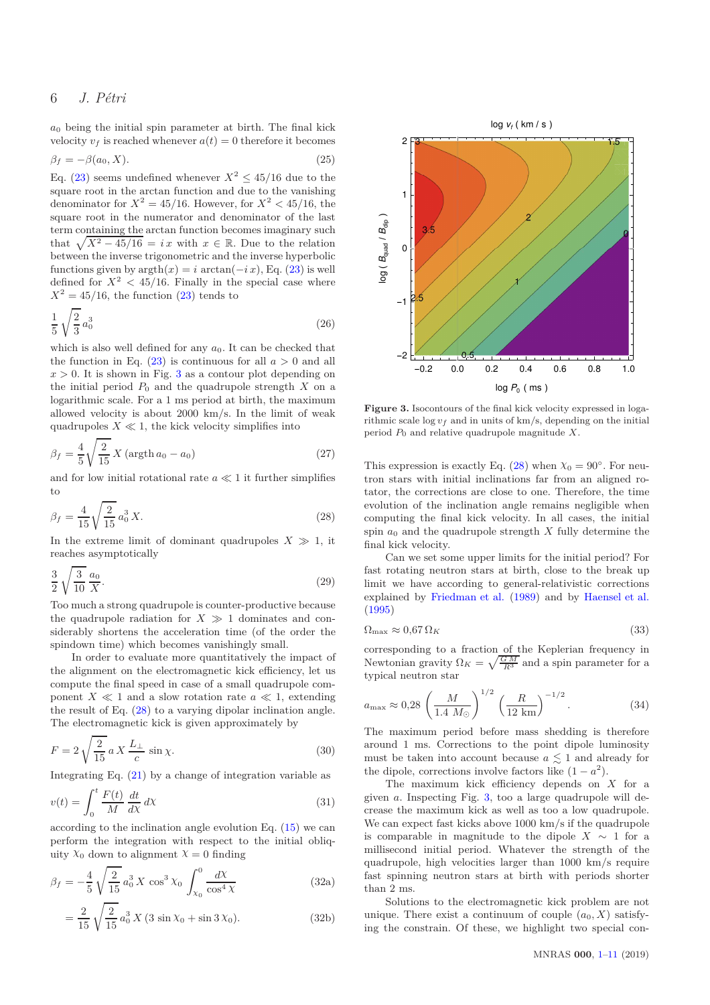# 6 *J. Pétri*

*a*<sup>0</sup> being the initial spin parameter at birth. The final kick velocity  $v_f$  is reached whenever  $a(t) = 0$  therefore it becomes

$$
\beta_f = -\beta(a_0, X). \tag{25}
$$

Eq. [\(23\)](#page-4-3) seems undefined whenever  $X^2 \leq 45/16$  due to the square root in the arctan function and due to the vanishing denominator for  $X^2 = 45/16$ . However, for  $X^2 < 45/16$ , the square root in the numerator and denominator of the last term containing the arctan function becomes imaginary such that  $\sqrt{X^2 - 45/16} = i x$  with  $x \in \mathbb{R}$ . Due to the relation between the inverse trigonometric and the inverse hyperbolic functions given by  $\mathrm{argth}(x) = i \arctan(-ix)$ , Eq. [\(23\)](#page-4-3) is well defined for  $X^2 < 45/16$ . Finally in the special case where  $X^2 = 45/16$ , the function [\(23\)](#page-4-3) tends to

$$
\frac{1}{5} \sqrt{\frac{2}{3}} a_0^3 \tag{26}
$$

which is also well defined for any  $a_0$ . It can be checked that the function in Eq.  $(23)$  is continuous for all  $a > 0$  and all  $x > 0$ . It is shown in Fig. [3](#page-5-0) as a contour plot depending on the initial period  $P_0$  and the quadrupole strength  $X$  on a logarithmic scale. For a 1 ms period at birth, the maximum allowed velocity is about 2000 km/s. In the limit of weak quadrupoles  $X \ll 1$ , the kick velocity simplifies into

$$
\beta_f = \frac{4}{5} \sqrt{\frac{2}{15}} X (\text{argth } a_0 - a_0) \tag{27}
$$

<span id="page-5-1"></span>and for low initial rotational rate  $a \ll 1$  it further simplifies to

$$
\beta_f = \frac{4}{15} \sqrt{\frac{2}{15}} a_0^3 X.
$$
\n(28)

In the extreme limit of dominant quadrupoles  $X \gg 1$ , it reaches asymptotically

$$
\frac{3}{2}\sqrt{\frac{3}{10}}\frac{a_0}{X}.\tag{29}
$$

Too much a strong quadrupole is counter-productive because the quadrupole radiation for  $X \gg 1$  dominates and considerably shortens the acceleration time (of the order the spindown time) which becomes vanishingly small.

In order to evaluate more quantitatively the impact of the alignment on the electromagnetic kick efficiency, let us compute the final speed in case of a small quadrupole component  $X \ll 1$  and a slow rotation rate  $a \ll 1$ , extending the result of Eq. [\(28\)](#page-5-1) to a varying dipolar inclination angle. The electromagnetic kick is given approximately by

$$
F = 2\sqrt{\frac{2}{15}} a X \frac{L_{\perp}}{c} \sin \chi.
$$
 (30)

Integrating Eq. [\(21\)](#page-4-4) by a change of integration variable as

$$
v(t) = \int_0^t \frac{F(t)}{M} \frac{dt}{dX} dX \tag{31}
$$

according to the inclination angle evolution Eq. [\(15\)](#page-4-5) we can perform the integration with respect to the initial obliquity  $X_0$  down to alignment  $X = 0$  finding

$$
\beta_f = -\frac{4}{5} \sqrt{\frac{2}{15}} a_0^3 X \cos^3 X_0 \int_{X_0}^0 \frac{dX}{\cos^4 X}
$$
 (32a)

$$
= \frac{2}{15} \sqrt{\frac{2}{15}} a_0^3 X (3 \sin X_0 + \sin 3 X_0).
$$
 (32b)



<span id="page-5-0"></span>**Figure 3.** Isocontours of the final kick velocity expressed in logarithmic scale  $\log v_f$  and in units of km/s, depending on the initial period  $P_0$  and relative quadrupole magnitude  $X$ .

This expression is exactly Eq.  $(28)$  when  $\chi_0 = 90^\circ$ . For neutron stars with initial inclinations far from an aligned rotator, the corrections are close to one. Therefore, the time evolution of the inclination angle remains negligible when computing the final kick velocity. In all cases, the initial spin *a*<sup>0</sup> and the quadrupole strength *X* fully determine the final kick velocity.

Can we set some upper limits for the initial period? For fast rotating neutron stars at birth, close to the break up limit we have according to general-relativistic corrections explained by [Friedman et al.](#page-10-24) [\(1989](#page-10-24)) and by [Haensel et al.](#page-10-25) [\(1995](#page-10-25))

$$
\Omega_{\text{max}} \approx 0.67 \,\Omega_K \tag{33}
$$

corresponding to a fraction of the Keplerian frequency in Newtonian gravity  $\Omega_K = \sqrt{\frac{GM}{R^3}}$  and a spin parameter for a typical neutron star

$$
a_{\text{max}} \approx 0.28 \left(\frac{M}{1.4 \ M_{\odot}}\right)^{1/2} \left(\frac{R}{12 \ \text{km}}\right)^{-1/2}.
$$
 (34)

The maximum period before mass shedding is therefore around 1 ms. Corrections to the point dipole luminosity must be taken into account because  $a \lesssim 1$  and already for the dipole, corrections involve factors like  $(1 - a^2)$ .

The maximum kick efficiency depends on *X* for a given *a*. Inspecting Fig. [3,](#page-5-0) too a large quadrupole will decrease the maximum kick as well as too a low quadrupole. We can expect fast kicks above 1000 km/s if the quadrupole is comparable in magnitude to the dipole  $X \sim 1$  for a millisecond initial period. Whatever the strength of the quadrupole, high velocities larger than 1000 km/s require fast spinning neutron stars at birth with periods shorter than 2 ms.

Solutions to the electromagnetic kick problem are not unique. There exist a continuum of couple  $(a_0, X)$  satisfying the constrain. Of these, we highlight two special con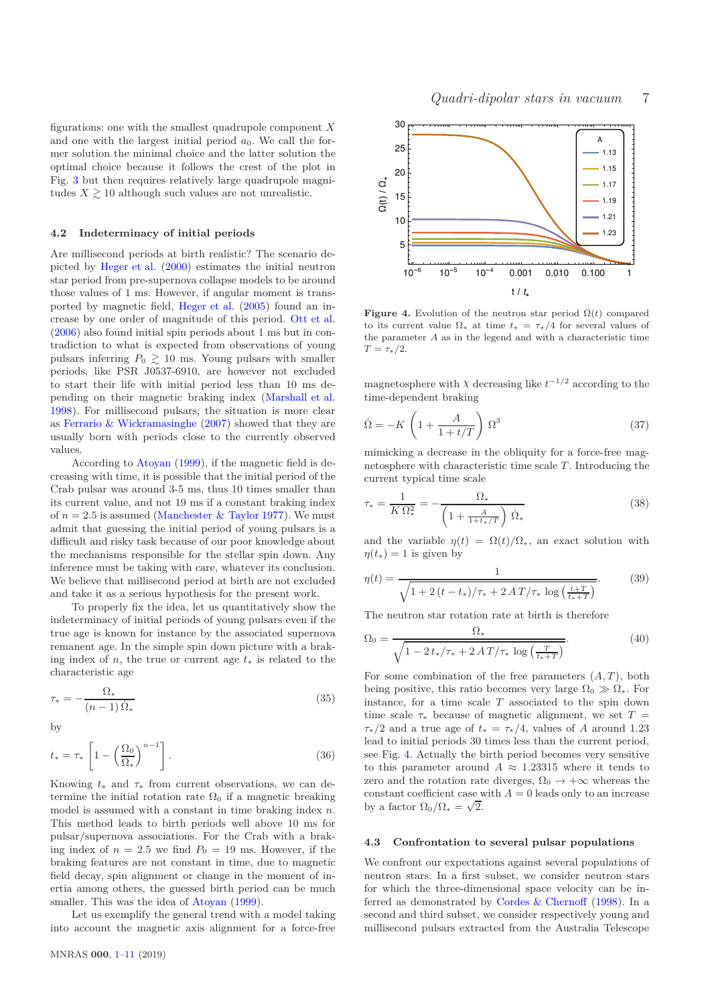figurations: one with the smallest quadrupole component *X* and one with the largest initial period *a*0. We call the former solution the minimal choice and the latter solution the optimal choice because it follows the crest of the plot in Fig. [3](#page-5-0) but then requires relatively large quadrupole magnitudes  $X \geq 10$  although such values are not unrealistic.

#### **4.2 Indeterminacy of initial periods**

Are millisecond periods at birth realistic? The scenario depicted by [Heger et al.](#page-10-26) [\(2000\)](#page-10-26) estimates the initial neutron star period from pre-supernova collapse models to be around those values of 1 ms. However, if angular moment is transported by magnetic field, [Heger et al.](#page-10-27) [\(2005](#page-10-27)) found an increase by one order of magnitude of this period. [Ott et al.](#page-10-28) [\(2006](#page-10-28)) also found initial spin periods about 1 ms but in contradiction to what is expected from observations of young pulsars inferring  $P_0 \geq 10$  ms. Young pulsars with smaller periods, like PSR J0537-6910, are however not excluded to start their life with initial period less than 10 ms depending on their magnetic braking index [\(Marshall et al.](#page-10-29) [1998](#page-10-29)). For millisecond pulsars, the situation is more clear as [Ferrario & Wickramasinghe](#page-10-30) [\(2007\)](#page-10-30) showed that they are usually born with periods close to the currently observed values.

According to [Atoyan](#page-10-31) [\(1999](#page-10-31)), if the magnetic field is decreasing with time, it is possible that the initial period of the Crab pulsar was around 3-5 ms, thus 10 times smaller than its current value, and not 19 ms if a constant braking index of  $n = 2.5$  is assumed [\(Manchester & Taylor 1977\)](#page-10-32). We must admit that guessing the initial period of young pulsars is a difficult and risky task because of our poor knowledge about the mechanisms responsible for the stellar spin down. Any inference must be taking with care, whatever its conclusion. We believe that millisecond period at birth are not excluded and take it as a serious hypothesis for the present work.

To properly fix the idea, let us quantitatively show the indeterminacy of initial periods of young pulsars even if the true age is known for instance by the associated supernova remanent age. In the simple spin down picture with a braking index of *n*, the true or current age *t*<sup>∗</sup> is related to the characteristic age

$$
\tau_* = -\frac{\Omega_*}{(n-1)\,\dot{\Omega}_*} \tag{35}
$$

by

$$
t_* = \tau_* \left[ 1 - \left( \frac{\Omega_0}{\Omega_*} \right)^{n-1} \right]. \tag{36}
$$

Knowing  $t_*$  and  $\tau_*$  from current observations, we can determine the initial rotation rate  $\Omega_0$  if a magnetic breaking model is assumed with a constant in time braking index *n*. This method leads to birth periods well above 10 ms for pulsar/supernova associations. For the Crab with a braking index of  $n = 2.5$  we find  $P_0 = 19$  ms. However, if the braking features are not constant in time, due to magnetic field decay, spin alignment or change in the moment of inertia among others, the guessed birth period can be much smaller. This was the idea of [Atoyan](#page-10-31)  $(1999)$  $(1999)$ .

Let us exemplify the general trend with a model taking into account the magnetic axis alignment for a force-free



<span id="page-6-0"></span>**Figure 4.** Evolution of the neutron star period  $\Omega(t)$  compared to its current value  $\Omega_*$  at time  $t_* = \tau_* / 4$  for several values of the parameter *A* as in the legend and with a characteristic time *T* =  $τ_*/2$ .

magnetosphere with  $\chi$  decreasing like  $t^{-1/2}$  according to the time-dependent braking

$$
\dot{\Omega} = -K \left( 1 + \frac{A}{1 + t/T} \right) \Omega^3 \tag{37}
$$

mimicking a decrease in the obliquity for a force-free magnetosphere with characteristic time scale *T*. Introducing the current typical time scale

$$
\tau_* = \frac{1}{K \,\Omega_*^2} = -\frac{\Omega_*}{\left(1 + \frac{A}{1 + t_*/T}\right) \,\dot{\Omega}_*}
$$
\n(38)

and the variable  $\eta(t) = \Omega(t)/\Omega_*$ , an exact solution with  $\eta(t_*) = 1$  is given by

$$
\eta(t) = \frac{1}{\sqrt{1 + 2(t - t_*)/\tau_* + 2AT/\tau_* \log\left(\frac{t + T}{t_* + T}\right)}}.\tag{39}
$$

The neutron star rotation rate at birth is therefore

$$
\Omega_0 = \frac{\Omega_*}{\sqrt{1 - 2t_*/\tau_* + 2AT/\tau_* \log\left(\frac{T}{t_* + T}\right)}}.\tag{40}
$$

For some combination of the free parameters (*A, T*), both being positive, this ratio becomes very large  $\Omega_0 \gg \Omega_*$ . For instance, for a time scale *T* associated to the spin down time scale  $\tau_*$  because of magnetic alignment, we set  $T =$  $\tau$ <sup>\*</sup>/2 and a true age of  $t_* = \tau$ <sup>\*</sup>/4, values of *A* around 1*.*23 lead to initial periods 30 times less than the current period, see Fig. [4.](#page-6-0) Actually the birth period becomes very sensitive to this parameter around  $A \approx 1.23315$  where it tends to zero and the rotation rate diverges,  $\Omega_0 \rightarrow +\infty$  whereas the constant coefficient case with  $A = 0$  leads only to an increase by a factor  $\Omega_0/\Omega_* = \sqrt{2}$ .

#### **4.3 Confrontation to several pulsar populations**

We confront our expectations against several populations of neutron stars. In a first subset, we consider neutron stars for which the three-dimensional space velocity can be inferred as demonstrated by [Cordes & Chernoff](#page-10-33) [\(1998](#page-10-33)). In a second and third subset, we consider respectively young and millisecond pulsars extracted from the Australia Telescope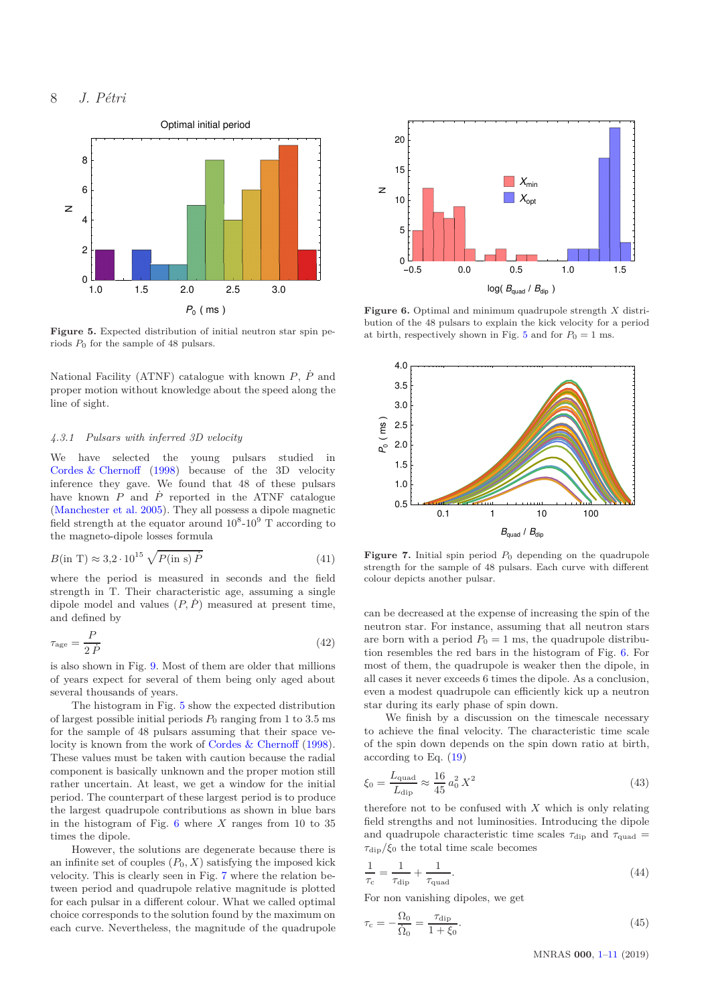

<span id="page-7-0"></span>**Figure 5.** Expected distribution of initial neutron star spin periods *P*<sup>0</sup> for the sample of 48 pulsars.

National Facility (ATNF) catalogue with known *P*, *P*˙ and proper motion without knowledge about the speed along the line of sight.

# *4.3.1 Pulsars with inferred 3D velocity*

We have selected the young pulsars studied in [Cordes & Chernoff](#page-10-33) [\(1998](#page-10-33)) because of the 3D velocity inference they gave. We found that 48 of these pulsars have known  $P$  and  $\dot{P}$  reported in the ATNF catalogue [\(Manchester et al. 2005](#page-10-34)). They all possess a dipole magnetic field strength at the equator around  $10^8$ - $10^9$  T according to the magneto-dipole losses formula

$$
B(\text{in T}) \approx 3.2 \cdot 10^{15} \sqrt{P(\text{in s}) \dot{P}}
$$
\n(41)

where the period is measured in seconds and the field strength in T. Their characteristic age, assuming a single dipole model and values  $(P, \dot{P})$  measured at present time, and defined by

$$
\tau_{\rm age} = \frac{P}{2\,\dot{P}}\tag{42}
$$

is also shown in Fig. [9.](#page-8-0) Most of them are older that millions of years expect for several of them being only aged about several thousands of years.

The histogram in Fig. [5](#page-7-0) show the expected distribution of largest possible initial periods *P*<sup>0</sup> ranging from 1 to 3.5 ms for the sample of 48 pulsars assuming that their space velocity is known from the work of [Cordes & Chernoff](#page-10-33) [\(1998](#page-10-33)). These values must be taken with caution because the radial component is basically unknown and the proper motion still rather uncertain. At least, we get a window for the initial period. The counterpart of these largest period is to produce the largest quadrupole contributions as shown in blue bars in the histogram of Fig. [6](#page-7-1) where *X* ranges from 10 to 35 times the dipole.

However, the solutions are degenerate because there is an infinite set of couples  $(P_0, X)$  satisfying the imposed kick velocity. This is clearly seen in Fig. [7](#page-7-2) where the relation between period and quadrupole relative magnitude is plotted for each pulsar in a different colour. What we called optimal choice corresponds to the solution found by the maximum on each curve. Nevertheless, the magnitude of the quadrupole



<span id="page-7-1"></span>**Figure 6.** Optimal and minimum quadrupole strength *X* distribution of the 48 pulsars to explain the kick velocity for a period at birth, respectively shown in Fig. [5](#page-7-0) and for  $P_0 = 1$  ms.



<span id="page-7-2"></span>**Figure 7.** Initial spin period *P*<sup>0</sup> depending on the quadrupole strength for the sample of 48 pulsars. Each curve with different colour depicts another pulsar.

can be decreased at the expense of increasing the spin of the neutron star. For instance, assuming that all neutron stars are born with a period  $P_0 = 1$  ms, the quadrupole distribution resembles the red bars in the histogram of Fig. [6.](#page-7-1) For most of them, the quadrupole is weaker then the dipole, in all cases it never exceeds 6 times the dipole. As a conclusion, even a modest quadrupole can efficiently kick up a neutron star during its early phase of spin down.

We finish by a discussion on the timescale necessary to achieve the final velocity. The characteristic time scale of the spin down depends on the spin down ratio at birth, according to Eq. [\(19\)](#page-4-6)

$$
\xi_0 = \frac{L_{\text{quad}}}{L_{\text{dip}}} \approx \frac{16}{45} a_0^2 X^2 \tag{43}
$$

therefore not to be confused with *X* which is only relating field strengths and not luminosities. Introducing the dipole and quadrupole characteristic time scales  $\tau_{\text{dip}}$  and  $\tau_{\text{quad}} =$ *τ*dip*/ξ*<sup>0</sup> the total time scale becomes

$$
\frac{1}{\tau_{\rm c}} = \frac{1}{\tau_{\rm dip}} + \frac{1}{\tau_{\rm quad}}.\tag{44}
$$

For non vanishing dipoles, we get

$$
\tau_{\rm c} = -\frac{\Omega_0}{\dot{\Omega}_0} = \frac{\tau_{\rm dip}}{1 + \xi_0}.\tag{45}
$$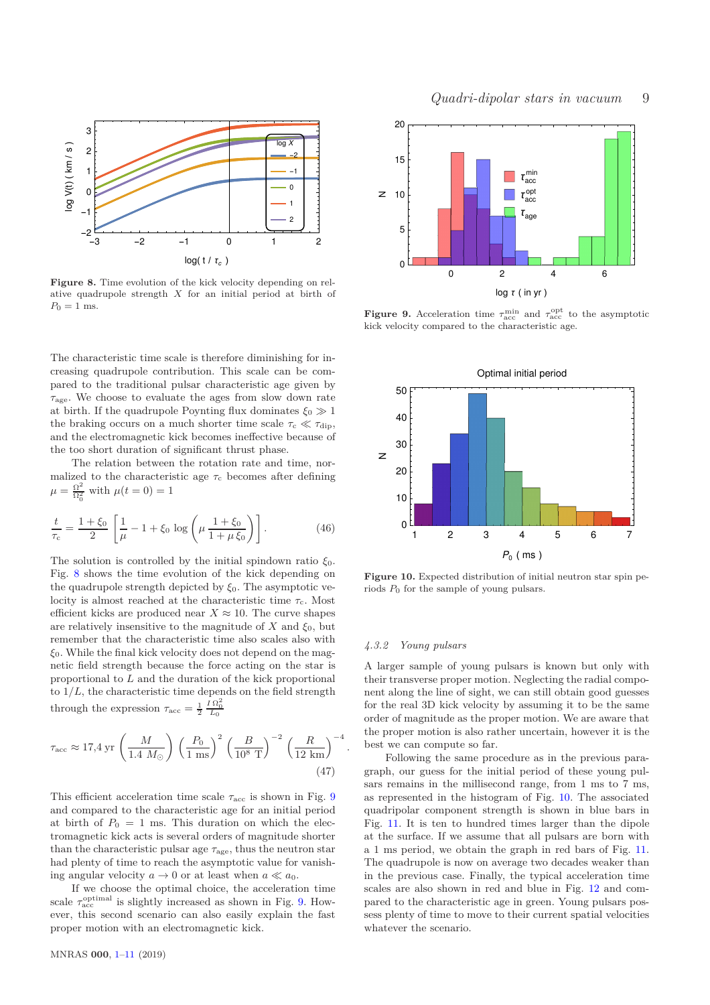

<span id="page-8-1"></span>**Figure 8.** Time evolution of the kick velocity depending on relative quadrupole strength *X* for an initial period at birth of  $P_0 = 1$  ms.

The characteristic time scale is therefore diminishing for increasing quadrupole contribution. This scale can be compared to the traditional pulsar characteristic age given by *τ*age. We choose to evaluate the ages from slow down rate at birth. If the quadrupole Poynting flux dominates  $\xi_0 \gg 1$ the braking occurs on a much shorter time scale  $\tau_c \ll \tau_{\rm dip}$ , and the electromagnetic kick becomes ineffective because of the too short duration of significant thrust phase.

The relation between the rotation rate and time, normalized to the characteristic age  $\tau_c$  becomes after defining  $\mu = \frac{\Omega^2}{\Omega_0^2}$  with  $\mu(t=0) = 1$ 

$$
\frac{t}{\tau_{\rm c}} = \frac{1+\xi_0}{2} \left[ \frac{1}{\mu} - 1 + \xi_0 \log \left( \mu \frac{1+\xi_0}{1+\mu \xi_0} \right) \right]. \tag{46}
$$

The solution is controlled by the initial spindown ratio  $\xi_0$ . Fig. [8](#page-8-1) shows the time evolution of the kick depending on the quadrupole strength depicted by  $\xi_0$ . The asymptotic velocity is almost reached at the characteristic time  $\tau_c$ . Most efficient kicks are produced near  $X \approx 10$ . The curve shapes are relatively insensitive to the magnitude of  $X$  and  $\xi_0$ , but remember that the characteristic time also scales also with *ξ*0. While the final kick velocity does not depend on the magnetic field strength because the force acting on the star is proportional to *L* and the duration of the kick proportional to  $1/L$ , the characteristic time depends on the field strength through the expression  $\tau_{\text{acc}} = \frac{1}{2}$  $\frac{\tilde{I} \Omega_0^2}{L_0}$ 

$$
\tau_{\rm acc} \approx 17,4 \, {\rm yr} \, \left(\frac{M}{1.4 \, M_{\odot}}\right) \, \left(\frac{P_0}{1 \, {\rm ms}}\right)^2 \, \left(\frac{B}{10^8 \, {\rm T}}\right)^{-2} \, \left(\frac{R}{12 \, {\rm km}}\right)^{-4}.\tag{47}
$$

This efficient acceleration time scale  $\tau_{\text{acc}}$  is shown in Fig. [9](#page-8-0) and compared to the characteristic age for an initial period at birth of  $P_0 = 1$  ms. This duration on which the electromagnetic kick acts is several orders of magnitude shorter than the characteristic pulsar age *τ*age, thus the neutron star had plenty of time to reach the asymptotic value for vanishing angular velocity  $a \to 0$  or at least when  $a \ll a_0$ .

If we choose the optimal choice, the acceleration time scale  $\tau_{\rm acc}^{\rm optimal}$  is slightly increased as shown in Fig. [9.](#page-8-0) However, this second scenario can also easily explain the fast proper motion with an electromagnetic kick.



<span id="page-8-0"></span>**Figure 9.** Acceleration time  $\tau_{\text{acc}}^{\text{min}}$  and  $\tau_{\text{acc}}^{\text{opt}}$  to the asymptotic kick velocity compared to the characteristic age.



<span id="page-8-2"></span>**Figure 10.** Expected distribution of initial neutron star spin periods *P*<sup>0</sup> for the sample of young pulsars.

## *4.3.2 Young pulsars*

A larger sample of young pulsars is known but only with their transverse proper motion. Neglecting the radial component along the line of sight, we can still obtain good guesses for the real 3D kick velocity by assuming it to be the same order of magnitude as the proper motion. We are aware that the proper motion is also rather uncertain, however it is the best we can compute so far.

Following the same procedure as in the previous paragraph, our guess for the initial period of these young pulsars remains in the millisecond range, from 1 ms to 7 ms, as represented in the histogram of Fig. [10.](#page-8-2) The associated quadripolar component strength is shown in blue bars in Fig. [11.](#page-9-1) It is ten to hundred times larger than the dipole at the surface. If we assume that all pulsars are born with a 1 ms period, we obtain the graph in red bars of Fig. [11.](#page-9-1) The quadrupole is now on average two decades weaker than in the previous case. Finally, the typical acceleration time scales are also shown in red and blue in Fig. [12](#page-9-2) and compared to the characteristic age in green. Young pulsars possess plenty of time to move to their current spatial velocities whatever the scenario.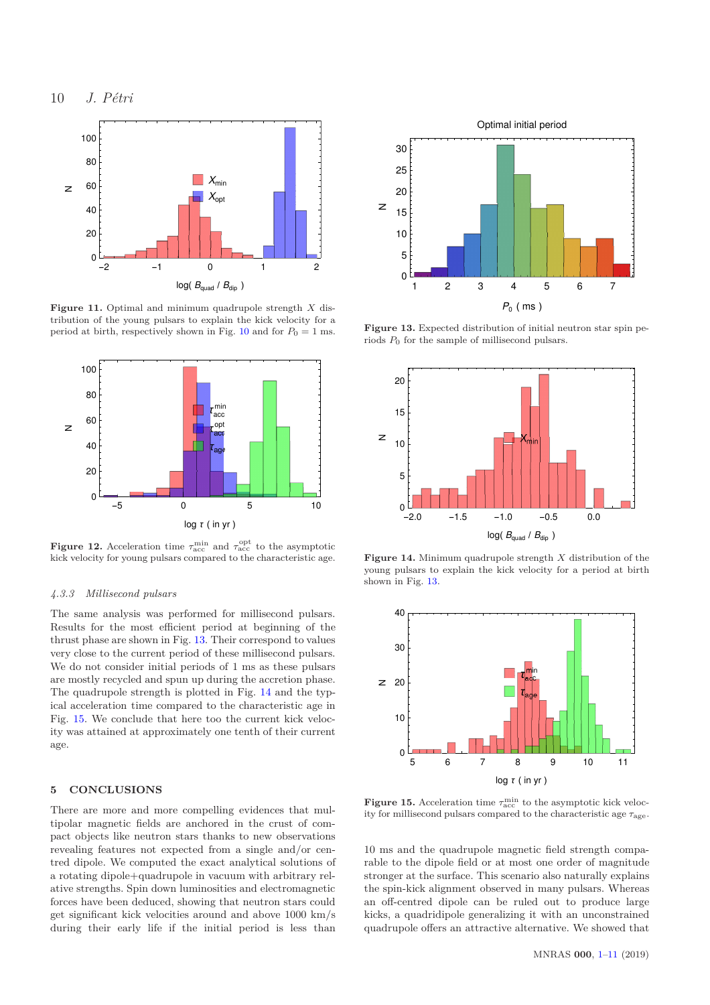

<span id="page-9-1"></span>**Figure 11.** Optimal and minimum quadrupole strength *X* distribution of the young pulsars to explain the kick velocity for a period at birth, respectively shown in Fig. [10](#page-8-2) and for  $P_0 = 1$  ms.



<span id="page-9-2"></span>**Figure 12.** Acceleration time  $\tau_{\text{acc}}^{\text{min}}$  and  $\tau_{\text{acc}}^{\text{opt}}$  to the asymptotic kick velocity for young pulsars compared to the characteristic age.

# *4.3.3 Millisecond pulsars*

The same analysis was performed for millisecond pulsars. Results for the most efficient period at beginning of the thrust phase are shown in Fig. [13.](#page-9-3) Their correspond to values very close to the current period of these millisecond pulsars. We do not consider initial periods of 1 ms as these pulsars are mostly recycled and spun up during the accretion phase. The quadrupole strength is plotted in Fig. [14](#page-9-4) and the typical acceleration time compared to the characteristic age in Fig. [15.](#page-9-5) We conclude that here too the current kick velocity was attained at approximately one tenth of their current age.

# <span id="page-9-0"></span>**5 CONCLUSIONS**

There are more and more compelling evidences that multipolar magnetic fields are anchored in the crust of compact objects like neutron stars thanks to new observations revealing features not expected from a single and/or centred dipole. We computed the exact analytical solutions of a rotating dipole+quadrupole in vacuum with arbitrary relative strengths. Spin down luminosities and electromagnetic forces have been deduced, showing that neutron stars could get significant kick velocities around and above 1000 km/s during their early life if the initial period is less than



**Figure 13.** Expected distribution of initial neutron star spin periods *P*<sup>0</sup> for the sample of millisecond pulsars.

<span id="page-9-3"></span>

<span id="page-9-4"></span>**Figure 14.** Minimum quadrupole strength *X* distribution of the young pulsars to explain the kick velocity for a period at birth shown in Fig. [13.](#page-9-3)



<span id="page-9-5"></span>**Figure 15.** Acceleration time  $\tau_{\text{acc}}^{\text{min}}$  to the asymptotic kick velocity for millisecond pulsars compared to the characteristic age *τ*age.

10 ms and the quadrupole magnetic field strength comparable to the dipole field or at most one order of magnitude stronger at the surface. This scenario also naturally explains the spin-kick alignment observed in many pulsars. Whereas an off-centred dipole can be ruled out to produce large kicks, a quadridipole generalizing it with an unconstrained quadrupole offers an attractive alternative. We showed that